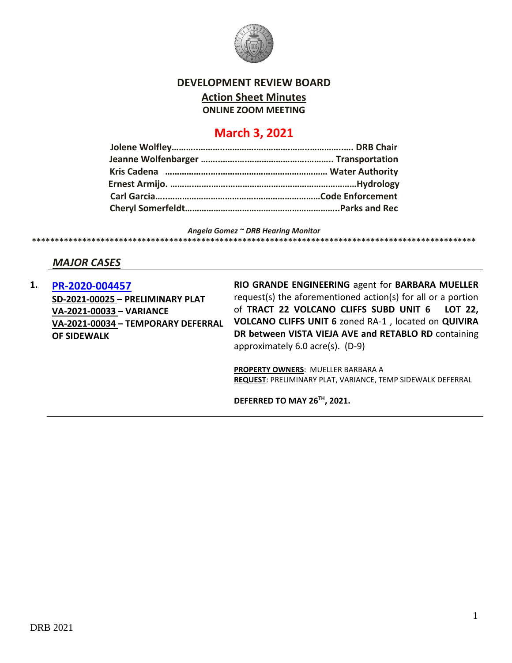

#### **DEVELOPMENT REVIEW BOARD**

**Action Sheet Minutes**

**ONLINE ZOOM MEETING**

# **March 3, 2021**

*Angela Gomez ~ DRB Hearing Monitor* **\*\*\*\*\*\*\*\*\*\*\*\*\*\*\*\*\*\*\*\*\*\*\*\*\*\*\*\*\*\*\*\*\*\*\*\*\*\*\*\*\*\*\*\*\*\*\*\*\*\*\*\*\*\*\*\*\*\*\*\*\*\*\*\*\*\*\*\*\*\*\*\*\*\*\*\*\*\*\*\*\*\*\*\*\*\*\*\*\*\*\*\*\*\*\*\*\***

# *MAJOR CASES*

**1. [PR-2020-004457](http://data.cabq.gov/government/planning/DRB/PR-2021-005047/DRB%20Submittals/PR-2021-005047_Mar_03_2021/Application/) SD-2021-00025 – PRELIMINARY PLAT VA-2021-00033 – VARIANCE VA-2021-00034 – TEMPORARY DEFERRAL OF SIDEWALK**

**RIO GRANDE ENGINEERING** agent for **BARBARA MUELLER** request(s) the aforementioned action(s) for all or a portion of **TRACT 22 VOLCANO CLIFFS SUBD UNIT 6 LOT 22, VOLCANO CLIFFS UNIT 6** zoned RA-1 , located on **QUIVIRA DR between VISTA VIEJA AVE and RETABLO RD** containing approximately 6.0 acre(s). (D-9)

**PROPERTY OWNERS**: MUELLER BARBARA A **REQUEST**: PRELIMINARY PLAT, VARIANCE, TEMP SIDEWALK DEFERRAL

**DEFERRED TO MAY 26TH, 2021.**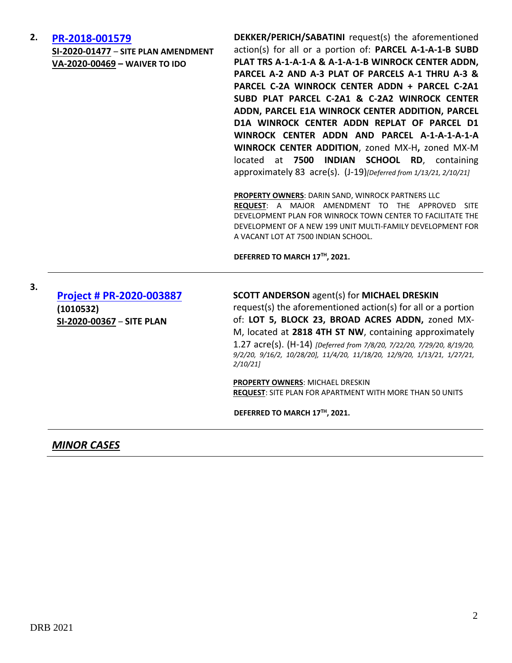#### **2. [PR-2018-001579](http://data.cabq.gov/government/planning/DRB/PR-2018-001579/DRB%20Submittals/)**

**SI-2020-01477** – **SITE PLAN AMENDMENT VA-2020-00469 – WAIVER TO IDO**

**DEKKER/PERICH/SABATINI** request(s) the aforementioned action(s) for all or a portion of: **PARCEL A-1-A-1-B SUBD PLAT TRS A-1-A-1-A & A-1-A-1-B WINROCK CENTER ADDN, PARCEL A-2 AND A-3 PLAT OF PARCELS A-1 THRU A-3 & PARCEL C-2A WINROCK CENTER ADDN + PARCEL C-2A1 SUBD PLAT PARCEL C-2A1 & C-2A2 WINROCK CENTER ADDN, PARCEL E1A WINROCK CENTER ADDITION, PARCEL D1A WINROCK CENTER ADDN REPLAT OF PARCEL D1 WINROCK CENTER ADDN AND PARCEL A-1-A-1-A-1-A WINROCK CENTER ADDITION**, zoned MX-H**,** zoned MX-M located at **7500 INDIAN SCHOOL RD**, containing approximately 83 acre(s). (J-19)*[Deferred from 1/13/21, 2/10/21]*

**PROPERTY OWNERS**: DARIN SAND, WINROCK PARTNERS LLC **REQUEST**: A MAJOR AMENDMENT TO THE APPROVED SITE DEVELOPMENT PLAN FOR WINROCK TOWN CENTER TO FACILITATE THE DEVELOPMENT OF A NEW 199 UNIT MULTI-FAMILY DEVELOPMENT FOR A VACANT LOT AT 7500 INDIAN SCHOOL.

**DEFERRED TO MARCH 17TH, 2021.**

**[Project # PR-2020-003887](http://data.cabq.gov/government/planning/DRB/PR-2020-003887/DRB%20Submittals/PR-2020-003887_Feb_10_2021_SUPP/Application/) (1010532) SI-2020-00367** – **SITE PLAN**

**3.**

#### **SCOTT ANDERSON** agent(s) for **MICHAEL DRESKIN**

request(s) the aforementioned action(s) for all or a portion of: **LOT 5, BLOCK 23, BROAD ACRES ADDN,** zoned MX-M, located at **2818 4TH ST NW**, containing approximately 1.27 acre(s). (H-14) *[Deferred from 7/8/20, 7/22/20, 7/29/20, 8/19/20, 9/2/20, 9/16/2, 10/28/20], 11/4/20, 11/18/20, 12/9/20, 1/13/21, 1/27/21, 2/10/21]*

**PROPERTY OWNERS**: MICHAEL DRESKIN **REQUEST**: SITE PLAN FOR APARTMENT WITH MORE THAN 50 UNITS

**DEFERRED TO MARCH 17TH, 2021.**

*MINOR CASES*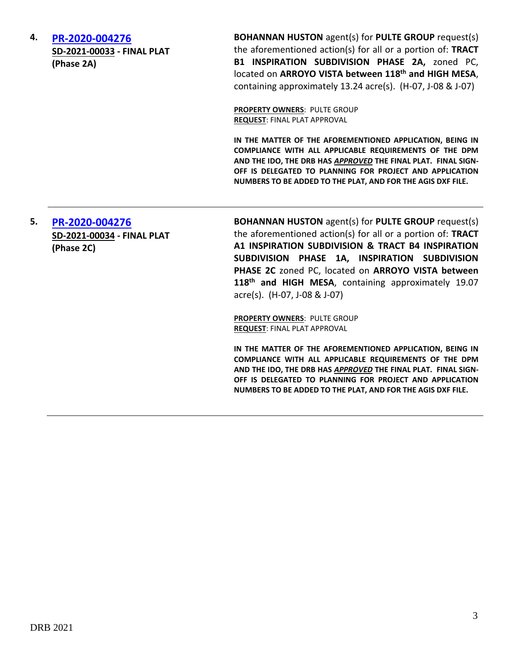| 4. | PR-2020-004276<br>SD-2021-00033 - FINAL PLAT<br>(Phase 2A) | <b>BOHANNAN HUSTON</b> agent(s) for PULTE GROUP request(s)<br>the aforementioned action(s) for all or a portion of: TRACT<br>B1 INSPIRATION SUBDIVISION PHASE 2A, zoned PC,<br>located on ARROYO VISTA between 118 <sup>th</sup> and HIGH MESA,<br>containing approximately 13.24 acre(s). (H-07, J-08 & J-07) |
|----|------------------------------------------------------------|----------------------------------------------------------------------------------------------------------------------------------------------------------------------------------------------------------------------------------------------------------------------------------------------------------------|
|    |                                                            | <b>PROPERTY OWNERS: PULTE GROUP</b><br><b>REQUEST: FINAL PLAT APPROVAL</b>                                                                                                                                                                                                                                     |
|    |                                                            | IN THE MATTER OF THE AFOREMENTIONED APPLICATION, BEING IN<br>COMPLIANCE WITH ALL APPLICARLE REQUIREMENTS OF THE DPM                                                                                                                                                                                            |

**COMPLIANCE WITH ALL APPLICABLE REQUIREMENTS OF THE DPM AND THE IDO, THE DRB HAS** *APPROVED* **THE FINAL PLAT. FINAL SIGN-OFF IS DELEGATED TO PLANNING FOR PROJECT AND APPLICATION NUMBERS TO BE ADDED TO THE PLAT, AND FOR THE AGIS DXF FILE.**

**5. [PR-2020-004276](http://data.cabq.gov/government/planning/DRB/PR-2018-001759/DRB%20Submittals/PR-2018-001759_MARCH_3_2021/Application/PHASE%202C/Phase%202C%20Final%20Plat%20Package.pdf) SD-2021-00034 - FINAL PLAT (Phase 2C)**

**BOHANNAN HUSTON** agent(s) for **PULTE GROUP** request(s) the aforementioned action(s) for all or a portion of: **TRACT A1 INSPIRATION SUBDIVISION & TRACT B4 INSPIRATION SUBDIVISION PHASE 1A, INSPIRATION SUBDIVISION PHASE 2C** zoned PC, located on **ARROYO VISTA between 118th and HIGH MESA**, containing approximately 19.07 acre(s). (H-07, J-08 & J-07)

**PROPERTY OWNERS**: PULTE GROUP **REQUEST**: FINAL PLAT APPROVAL

**IN THE MATTER OF THE AFOREMENTIONED APPLICATION, BEING IN COMPLIANCE WITH ALL APPLICABLE REQUIREMENTS OF THE DPM AND THE IDO, THE DRB HAS** *APPROVED* **THE FINAL PLAT. FINAL SIGN-OFF IS DELEGATED TO PLANNING FOR PROJECT AND APPLICATION NUMBERS TO BE ADDED TO THE PLAT, AND FOR THE AGIS DXF FILE.**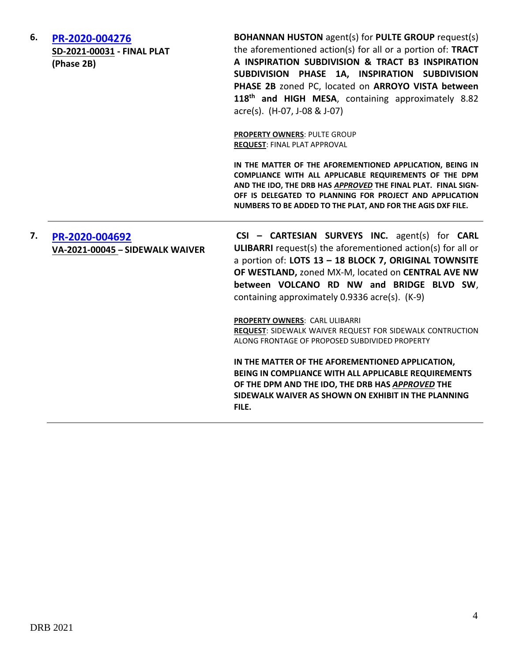| 6. | PR-2020-004276<br>SD-2021-00031 - FINAL PLAT<br>(Phase 2B) | <b>BOHANNAN HUSTON</b> agent(s) for PULTE GROUP request(s)<br>the aforementioned action(s) for all or a portion of: TRACT<br>A INSPIRATION SUBDIVISION & TRACT B3 INSPIRATION<br>SUBDIVISION PHASE 1A, INSPIRATION SUBDIVISION<br>PHASE 2B zoned PC, located on ARROYO VISTA between<br>118 <sup>th</sup> and HIGH MESA, containing approximately 8.82<br>acre(s). (H-07, J-08 & J-07) |
|----|------------------------------------------------------------|----------------------------------------------------------------------------------------------------------------------------------------------------------------------------------------------------------------------------------------------------------------------------------------------------------------------------------------------------------------------------------------|
|    |                                                            | <b>PROPERTY OWNERS: PULTE GROUP</b><br><b>REQUEST: FINAL PLAT APPROVAL</b>                                                                                                                                                                                                                                                                                                             |
|    |                                                            | IN THE MATTER OF THE AFOREMENTIONED APPLICATION, BEING IN<br>COMPLIANCE WITH ALL APPLICABLE REQUIREMENTS OF THE DPM<br>AND THE IDO, THE DRB HAS APPROVED THE FINAL PLAT. FINAL SIGN-<br>OFF IS DELEGATED TO PLANNING FOR PROJECT AND APPLICATION<br>NUMBERS TO BE ADDED TO THE PLAT, AND FOR THE AGIS DXF FILE.                                                                        |
| 7. | PR-2020-004692<br>VA-2021-00045 - SIDEWALK WAIVER          | CSI - CARTESIAN SURVEYS INC. agent(s) for CARL<br><b>ULIBARRI</b> request(s) the aforementioned action(s) for all or<br>a portion of: LOTS 13 - 18 BLOCK 7, ORIGINAL TOWNSITE<br>OF WESTLAND, zoned MX-M, located on CENTRAL AVE NW<br>between VOLCANO RD NW and BRIDGE BLVD SW,<br>containing approximately 0.9336 acre(s). (K-9)                                                     |
|    |                                                            | <b>PROPERTY OWNERS: CARL ULIBARRI</b><br><b>REQUEST: SIDEWALK WAIVER REQUEST FOR SIDEWALK CONTRUCTION</b><br>ALONG FRONTAGE OF PROPOSED SUBDIVIDED PROPERTY                                                                                                                                                                                                                            |
|    |                                                            | IN THE MATTER OF THE AFOREMENTIONED APPLICATION,<br>BEING IN COMPLIANCE WITH ALL APPLICABLE REQUIREMENTS<br>OF THE DPM AND THE IDO, THE DRB HAS APPROVED THE<br>SIDEWALK WAIVER AS SHOWN ON EXHIBIT IN THE PLANNING<br>FILE.                                                                                                                                                           |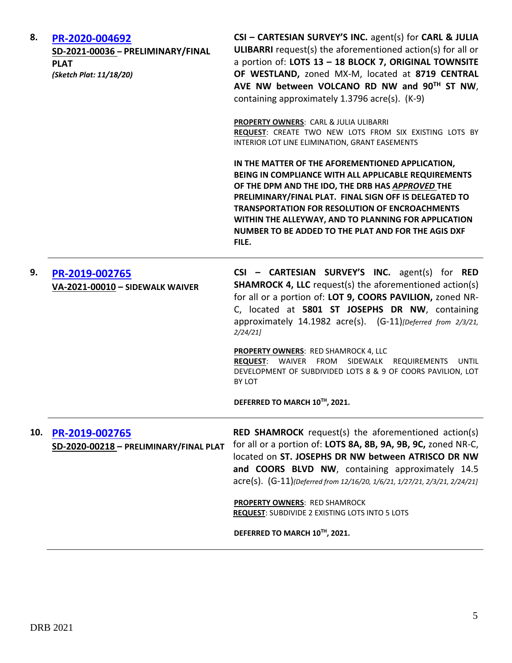| 8.  | PR-2020-004692<br>SD-2021-00036 - PRELIMINARY/FINAL<br><b>PLAT</b><br>(Sketch Plat: 11/18/20) | CSI - CARTESIAN SURVEY'S INC. agent(s) for CARL & JULIA<br><b>ULIBARRI</b> request(s) the aforementioned action(s) for all or<br>a portion of: LOTS 13 - 18 BLOCK 7, ORIGINAL TOWNSITE<br>OF WESTLAND, zoned MX-M, located at 8719 CENTRAL<br>AVE NW between VOLCANO RD NW and 90TH ST NW,<br>containing approximately 1.3796 acre(s). (K-9)                                                            |
|-----|-----------------------------------------------------------------------------------------------|---------------------------------------------------------------------------------------------------------------------------------------------------------------------------------------------------------------------------------------------------------------------------------------------------------------------------------------------------------------------------------------------------------|
|     |                                                                                               | PROPERTY OWNERS: CARL & JULIA ULIBARRI<br>REQUEST: CREATE TWO NEW LOTS FROM SIX EXISTING LOTS BY<br>INTERIOR LOT LINE ELIMINATION, GRANT EASEMENTS                                                                                                                                                                                                                                                      |
|     |                                                                                               | IN THE MATTER OF THE AFOREMENTIONED APPLICATION,<br>BEING IN COMPLIANCE WITH ALL APPLICABLE REQUIREMENTS<br>OF THE DPM AND THE IDO, THE DRB HAS APPROVED THE<br>PRELIMINARY/FINAL PLAT. FINAL SIGN OFF IS DELEGATED TO<br><b>TRANSPORTATION FOR RESOLUTION OF ENCROACHMENTS</b><br>WITHIN THE ALLEYWAY, AND TO PLANNING FOR APPLICATION<br>NUMBER TO BE ADDED TO THE PLAT AND FOR THE AGIS DXF<br>FILE. |
| 9.  | PR-2019-002765<br>VA-2021-00010 - SIDEWALK WAIVER                                             | CSI - CARTESIAN SURVEY'S INC. agent(s) for RED<br><b>SHAMROCK 4, LLC</b> request(s) the aforementioned action(s)<br>for all or a portion of: LOT 9, COORS PAVILION, zoned NR-<br>C, located at 5801 ST JOSEPHS DR NW, containing<br>approximately 14.1982 acre(s). (G-11) [Deferred from 2/3/21,<br>2/24/21                                                                                             |
|     |                                                                                               | <b>PROPERTY OWNERS: RED SHAMROCK 4, LLC</b><br>REQUEST: WAIVER FROM SIDEWALK REQUIREMENTS<br>UNTIL<br>DEVELOPMENT OF SUBDIVIDED LOTS 8 & 9 OF COORS PAVILION, LOT<br>BY LOT                                                                                                                                                                                                                             |
|     |                                                                                               | DEFERRED TO MARCH 10TH, 2021.                                                                                                                                                                                                                                                                                                                                                                           |
| 10. | PR-2019-002765<br>SD-2020-00218 - PRELIMINARY/FINAL PLAT                                      | <b>RED SHAMROCK</b> request(s) the aforementioned action(s)<br>for all or a portion of: LOTS 8A, 8B, 9A, 9B, 9C, zoned NR-C,<br>located on ST. JOSEPHS DR NW between ATRISCO DR NW<br>and COORS BLVD NW, containing approximately 14.5<br>acre(s). (G-11)(Deferred from 12/16/20, 1/6/21, 1/27/21, 2/3/21, 2/24/21]                                                                                     |
|     |                                                                                               | <b>PROPERTY OWNERS: RED SHAMROCK</b><br>REQUEST: SUBDIVIDE 2 EXISTING LOTS INTO 5 LOTS                                                                                                                                                                                                                                                                                                                  |
|     |                                                                                               | DEFERRED TO MARCH 10TH, 2021.                                                                                                                                                                                                                                                                                                                                                                           |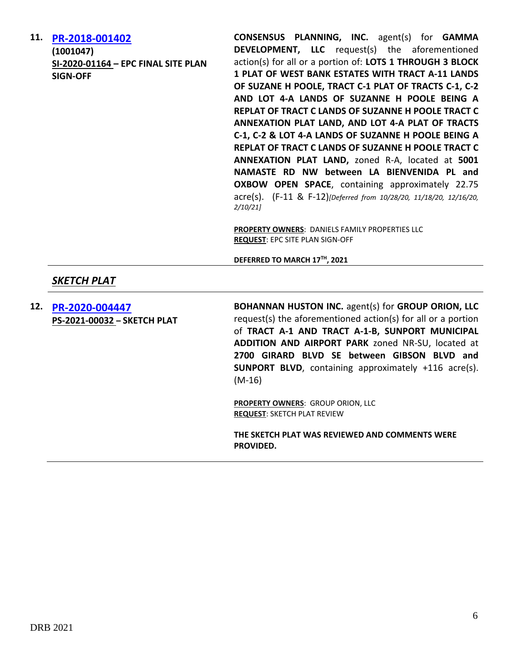**11. [PR-2018-001402](http://data.cabq.gov/government/planning/DRB/PR-2018-001402/DRB%20Submittals/) (1001047) SI-2020-01164 – EPC FINAL SITE PLAN SIGN-OFF**

**CONSENSUS PLANNING, INC.** agent(s) for **GAMMA DEVELOPMENT, LLC** request(s) the aforementioned action(s) for all or a portion of: **LOTS 1 THROUGH 3 BLOCK 1 PLAT OF WEST BANK ESTATES WITH TRACT A-11 LANDS OF SUZANE H POOLE, TRACT C-1 PLAT OF TRACTS C-1, C-2 AND LOT 4-A LANDS OF SUZANNE H POOLE BEING A REPLAT OF TRACT C LANDS OF SUZANNE H POOLE TRACT C ANNEXATION PLAT LAND, AND LOT 4-A PLAT OF TRACTS C-1, C-2 & LOT 4-A LANDS OF SUZANNE H POOLE BEING A REPLAT OF TRACT C LANDS OF SUZANNE H POOLE TRACT C ANNEXATION PLAT LAND,** zoned R-A, located at **5001 NAMASTE RD NW between LA BIENVENIDA PL and OXBOW OPEN SPACE**, containing approximately 22.75 acre(s). (F-11 & F-12)*[Deferred from 10/28/20, 11/18/20, 12/16/20, 2/10/21]*

**PROPERTY OWNERS**: DANIELS FAMILY PROPERTIES LLC **REQUEST**: EPC SITE PLAN SIGN-OFF

**DEFERRED TO MARCH 17 TH, 2021**

## *SKETCH PLAT*

**12. [PR-2020-004447](http://data.cabq.gov/government/planning/DRB/PR-2021-005119/DRB%20Submittals/PR-2021-005119_Mar_03_2021/Application/DRB%20SK%20BOHANNAN%20HOUSTON%20PR-2021-005119%20PS-2021-00032%20signed%20copy.pdf) PS-2021-00032 – SKETCH PLAT** **BOHANNAN HUSTON INC.** agent(s) for **GROUP ORION, LLC** request(s) the aforementioned action(s) for all or a portion of **TRACT A-1 AND TRACT A-1-B, SUNPORT MUNICIPAL ADDITION AND AIRPORT PARK** zoned NR-SU, located at **2700 GIRARD BLVD SE between GIBSON BLVD and SUNPORT BLVD**, containing approximately +116 acre(s). (M-16)

**PROPERTY OWNERS**: GROUP ORION, LLC **REQUEST**: SKETCH PLAT REVIEW

**THE SKETCH PLAT WAS REVIEWED AND COMMENTS WERE PROVIDED.**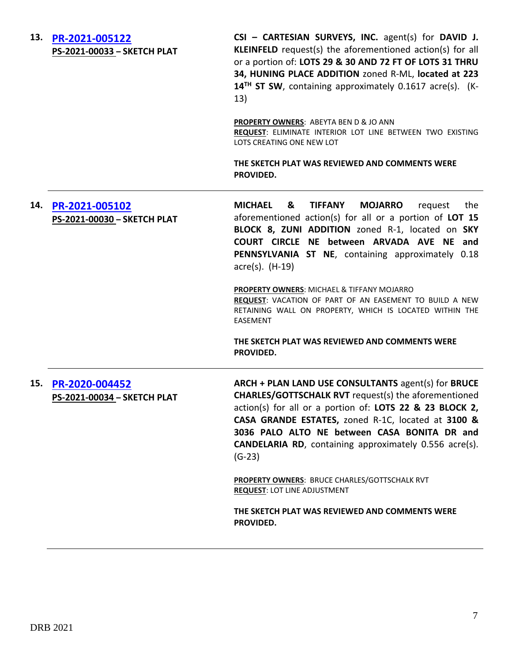**13. [PR-2021-005122](http://data.cabq.gov/government/planning/DRB/PR-2021-005122/DRB%20Submittals/PR-2021-005122_MARCH_3_2021/Application/DRB_app_202290.pdf) PS-2021-00033 – SKETCH PLAT CSI – CARTESIAN SURVEYS, INC.** agent(s) for **DAVID J. KLEINFELD** request(s) the aforementioned action(s) for all or a portion of: **LOTS 29 & 30 AND 72 FT OF LOTS 31 THRU 34, HUNING PLACE ADDITION** zoned R-ML, **located at 223 14TH ST SW**, containing approximately 0.1617 acre(s). (K-13) **PROPERTY OWNERS**: ABEYTA BEN D & JO ANN **REQUEST**: ELIMINATE INTERIOR LOT LINE BETWEEN TWO EXISTING LOTS CREATING ONE NEW LOT **THE SKETCH PLAT WAS REVIEWED AND COMMENTS WERE PROVIDED. 14. [PR-2021-005102](http://data.cabq.gov/government/planning/DRB/PR-2021-005102/DRB%20Submittals/PR-2021-005102_MARCH_3_2021/Application/DRB_Sketch%20Plat%20App_Mojarro.pdf) PS-2021-00030 – SKETCH PLAT MICHAEL & TIFFANY MOJARRO** request the aforementioned action(s) for all or a portion of **LOT 15 BLOCK 8, ZUNI ADDITION** zoned R-1, located on **SKY COURT CIRCLE NE between ARVADA AVE NE and PENNSYLVANIA ST NE**, containing approximately 0.18 acre(s). (H-19) **PROPERTY OWNERS**: MICHAEL & TIFFANY MOJARRO **REQUEST**: VACATION OF PART OF AN EASEMENT TO BUILD A NEW RETAINING WALL ON PROPERTY, WHICH IS LOCATED WITHIN THE EASEMENT **THE SKETCH PLAT WAS REVIEWED AND COMMENTS WERE PROVIDED. 15. [PR-2020-004452](http://data.cabq.gov/government/planning/DRB/PR-2021-005126/DRB%20Submittals/PR-2021-005126_MARCH_3_2021/Application/CASA%20GRANDE%20ESTATES%20-%20SKETCH%20PLAT.pdf) PS-2021-00034 – SKETCH PLAT ARCH + PLAN LAND USE CONSULTANTS** agent(s) for **BRUCE CHARLES/GOTTSCHALK RVT** request(s) the aforementioned action(s) for all or a portion of: **LOTS 22 & 23 BLOCK 2, CASA GRANDE ESTATES,** zoned R-1C, located at **3100 & 3036 PALO ALTO NE between CASA BONITA DR and CANDELARIA RD**, containing approximately 0.556 acre(s). (G-23) **PROPERTY OWNERS**: BRUCE CHARLES/GOTTSCHALK RVT **REQUEST**: LOT LINE ADJUSTMENT **THE SKETCH PLAT WAS REVIEWED AND COMMENTS WERE PROVIDED.**